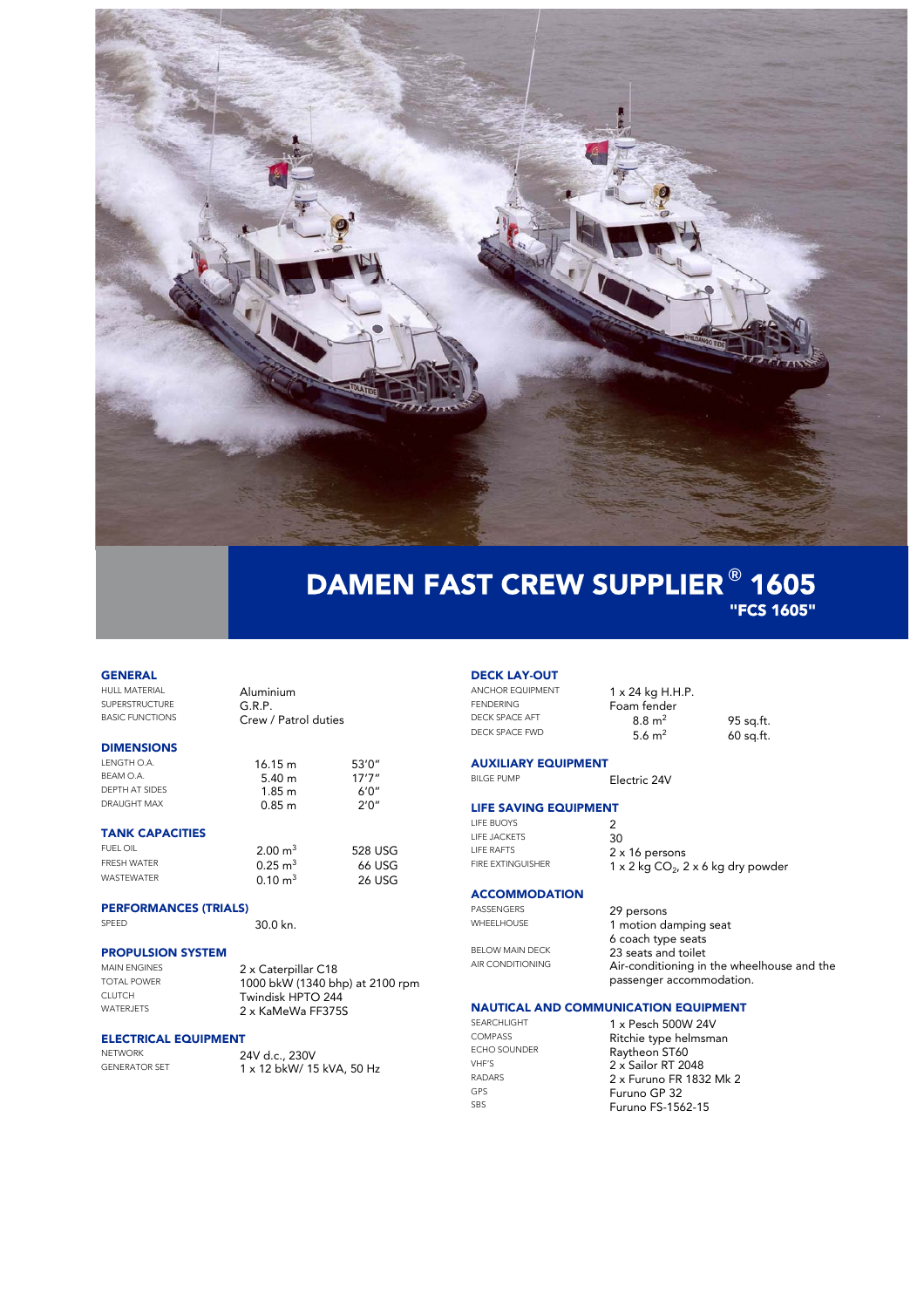

# DAMEN FAST CREW SUPPLIER **®** 1605 "FCS 1605"

## **GENERAL**<br>HULL MATERIAL

SUPERSTRUCTURE<br>BASIC FUNCTIONS

### DIMENSIONS

| 16.15 m | 53'0''        |
|---------|---------------|
| 5.40 m  | 17'7''        |
| 1.85 m  | $A' \Omega''$ |
| 0.85 m  | 2'0''         |
|         |               |

### TANK CAPACITIES

| FUEL OIL           | $2.00 \text{ m}^3$ | 528 USG |
|--------------------|--------------------|---------|
| <b>FRESH WATER</b> | $0.25 \text{ m}^3$ | 66 USG  |
| <b>WASTFWATFR</b>  | $0.10 \text{ m}^3$ | 26 USG  |

### PERFORMANCES (TRIALS)

SPEED 30.0 kn.

Aluminium<br>G.R.P.

Crew / Patrol duties

### PROPULSION SYSTEM

MAIN ENGINES 2 x Caterpillar C18<br>TOTAL POWER 1000 bkW (1340 bb TOTAL POWER<br>CLUTCH 1000 bkW (1340 bhp) at 2100 rpm<br>Twindisk HPTO 244 CLUTCH **Twindisk HPTO 244**<br>WATERJETS 2 x KaMeWa FE3759 2 x KaMeWa FF375S

### ELECTRICAL EQUIPMENT

NETWORK 24V d.c., 230V<br>GENERATOR SET 1 x 12 bl/M/15 GENERATOR SET 1 x 12 bkW/ 15 kVA, 50 Hz

# **DECK LAY-OUT**<br>ANCHOR EQUIPMENT

ANCHOR EQUIPMENT  $1 \times 24$  kg H.H.P.<br>FENDERING Form fander DECK SPACE AFT 8.8 m<sup>2</sup><br>DECK SPACE FWD 5.6 m<sup>2</sup> DECK SPACE FWD

Foam fender<br> $8.8 \text{ m}^2$  95 sq.ft. 60 sq.ft.

**AUXILIARY EQUIPMENT**<br>BILGE PUMP Electric 24V

### LIFE SAVING EQUIPMENT

LIFE BUOYS 2<br>
LIFE JACKETS 30 LIFE JACKETS<br>LIFE RAFTS LIFE RAFTS  $2 \times 16$  persons<br>FIRE EXTINGUISHER  $1 \times 2$  kg  $\overline{CQ_2}$ , 2

 $1 \times 2$  kg CO<sub>2</sub>, 2 x 6 kg dry powder

### **ACCOMMODATION**

PASSENGERS 29 persons<br>WHEELHOUSE 1 motion di

BELOW MAIN DECK 23 seats and toilet

I motion damping seat 6 coach type seats AIR CONDITIONING **Air-conditioning in the wheelhouse and the** passenger accommodation.

### NAUTICAL AND COMMUNICATION EQUIPMENT

SEARCHLIGHT 1 x Pesch 500W 24V<br>COMPASS pitchio tuno bolmany COMPASS Ritchie type helmsman<br>ECHO SOUNDER<br>Paythoon STAO ECHO SOUNDER<br>
VHF'S
2 x Sailor RT 20  $VHF'S$  2 x Sailor RT 2048 RADARS 2 x Furuno FR 1832 Mk 2 GPS<br>
Furuno GP 32<br>
SBS<br>
Furuno FS-156 Furuno FS-1562-15